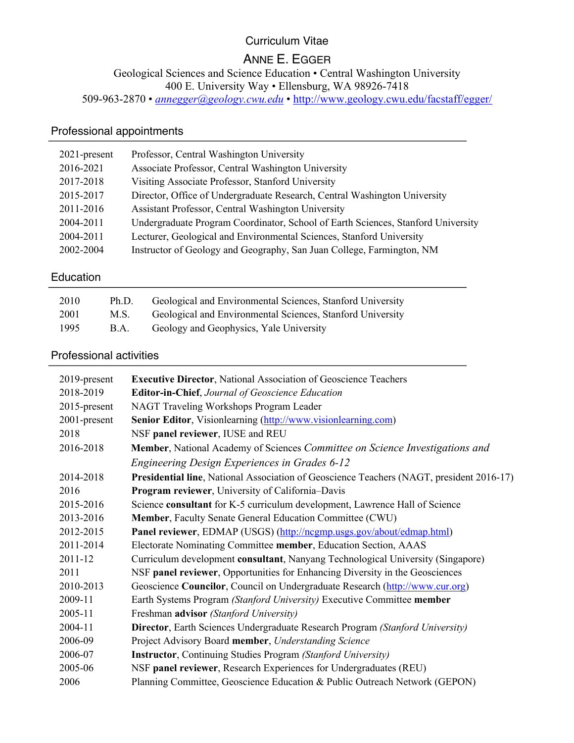## Curriculum Vitae

# ANNE E. EGGER

Geological Sciences and Science Education • Central Washington University

400 E. University Way • Ellensburg, WA 98926-7418

509-963-2870 • *annegger@geology.cwu.edu* • http://www.geology.cwu.edu/facstaff/egger/

# Professional appointments

| $2021$ -present | Professor, Central Washington University                                         |
|-----------------|----------------------------------------------------------------------------------|
| 2016-2021       | Associate Professor, Central Washington University                               |
| 2017-2018       | Visiting Associate Professor, Stanford University                                |
| 2015-2017       | Director, Office of Undergraduate Research, Central Washington University        |
| 2011-2016       | Assistant Professor, Central Washington University                               |
| 2004-2011       | Undergraduate Program Coordinator, School of Earth Sciences, Stanford University |
| 2004-2011       | Lecturer, Geological and Environmental Sciences, Stanford University             |
| 2002-2004       | Instructor of Geology and Geography, San Juan College, Farmington, NM            |
|                 |                                                                                  |

## Education

| 2010 | Ph.D. | Geological and Environmental Sciences, Stanford University |
|------|-------|------------------------------------------------------------|
| 2001 | M.S.  | Geological and Environmental Sciences, Stanford University |
| 1995 | B.A.  | Geology and Geophysics, Yale University                    |

## Professional activities

| <b>Executive Director, National Association of Geoscience Teachers</b>                   |
|------------------------------------------------------------------------------------------|
| <b>Editor-in-Chief, Journal of Geoscience Education</b>                                  |
| NAGT Traveling Workshops Program Leader                                                  |
| <b>Senior Editor, Visionlearning (http://www.visionlearning.com)</b>                     |
| NSF panel reviewer, IUSE and REU                                                         |
| Member, National Academy of Sciences Committee on Science Investigations and             |
| Engineering Design Experiences in Grades 6-12                                            |
| Presidential line, National Association of Geoscience Teachers (NAGT, president 2016-17) |
| Program reviewer, University of California-Davis                                         |
| Science consultant for K-5 curriculum development, Lawrence Hall of Science              |
| Member, Faculty Senate General Education Committee (CWU)                                 |
| Panel reviewer, EDMAP (USGS) (http://ncgmp.usgs.gov/about/edmap.html)                    |
| Electorate Nominating Committee member, Education Section, AAAS                          |
| Curriculum development consultant, Nanyang Technological University (Singapore)          |
| NSF panel reviewer, Opportunities for Enhancing Diversity in the Geosciences             |
| Geoscience Councilor, Council on Undergraduate Research (http://www.cur.org)             |
| Earth Systems Program (Stanford University) Executive Committee member                   |
| Freshman advisor (Stanford University)                                                   |
| Director, Earth Sciences Undergraduate Research Program (Stanford University)            |
| Project Advisory Board member, Understanding Science                                     |
| <b>Instructor</b> , Continuing Studies Program (Stanford University)                     |
| NSF panel reviewer, Research Experiences for Undergraduates (REU)                        |
| Planning Committee, Geoscience Education & Public Outreach Network (GEPON)               |
|                                                                                          |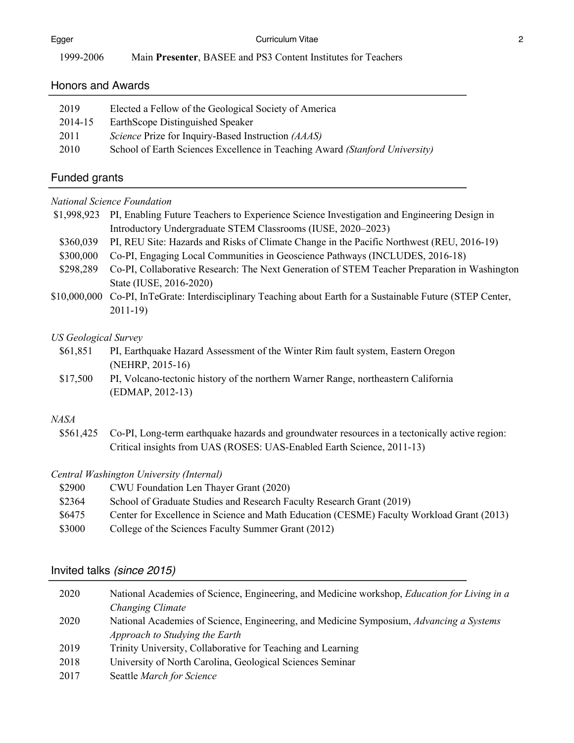| Egger     | Curriculum Vitae                                              |  |
|-----------|---------------------------------------------------------------|--|
| 1999-2006 | Main Presenter, BASEE and PS3 Content Institutes for Teachers |  |

#### Honors and Awards

#### Funded grants

## *National Science Foundation*

|           | \$1,998,923 PI, Enabling Future Teachers to Experience Science Investigation and Engineering Design in |
|-----------|--------------------------------------------------------------------------------------------------------|
|           | Introductory Undergraduate STEM Classrooms (IUSE, 2020–2023)                                           |
| \$360.039 | PI, REU Site: Hazards and Risks of Climate Change in the Pacific Northwest (REU, 2016-19)              |

- \$300,000 Co-PI, Engaging Local Communities in Geoscience Pathways (INCLUDES, 2016-18)
- \$298,289 Co-PI, Collaborative Research: The Next Generation of STEM Teacher Preparation in Washington State (IUSE, 2016-2020)
- \$10,000,000 Co-PI, InTeGrate: Interdisciplinary Teaching about Earth for a Sustainable Future (STEP Center, 2011-19)

#### *US Geological Survey*

- \$61,851 PI, Earthquake Hazard Assessment of the Winter Rim fault system, Eastern Oregon (NEHRP, 2015-16)
- \$17,500 PI, Volcano-tectonic history of the northern Warner Range, northeastern California (EDMAP, 2012-13)

#### *NASA*

\$561,425 Co-PI, Long-term earthquake hazards and groundwater resources in a tectonically active region: Critical insights from UAS (ROSES: UAS-Enabled Earth Science, 2011-13)

#### *Central Washington University (Internal)*

| \$2900 | CWU Foundation Len Thayer Grant (2020)                                                    |
|--------|-------------------------------------------------------------------------------------------|
| \$2364 | School of Graduate Studies and Research Faculty Research Grant (2019)                     |
| \$6475 | Center for Excellence in Science and Math Education (CESME) Faculty Workload Grant (2013) |
| \$3000 | College of the Sciences Faculty Summer Grant (2012)                                       |

#### Invited talks *(since 2015)*

| 2020 | National Academies of Science, Engineering, and Medicine workshop, Education for Living in a |
|------|----------------------------------------------------------------------------------------------|
|      | Changing Climate                                                                             |
| 2020 | National Academies of Science, Engineering, and Medicine Symposium, Advancing a Systems      |
|      | Approach to Studying the Earth                                                               |
| 2019 | Trinity University, Collaborative for Teaching and Learning                                  |
| 2018 | University of North Carolina, Geological Sciences Seminar                                    |
| 2017 | Seattle March for Science                                                                    |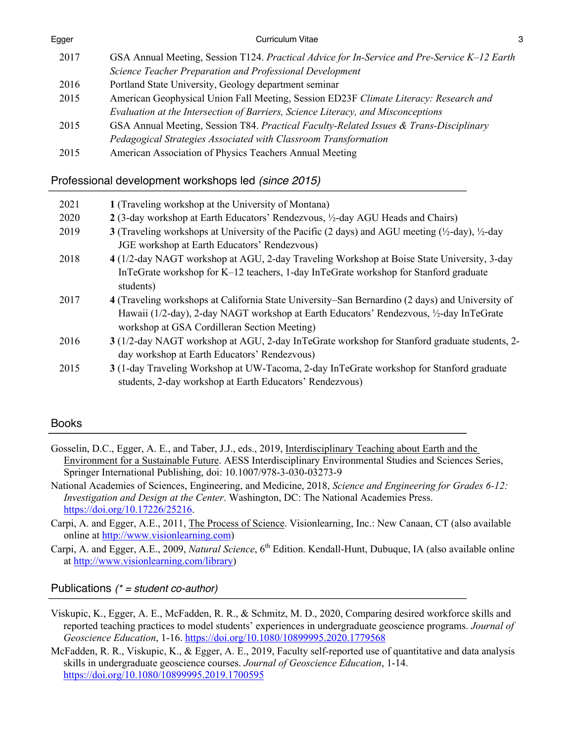| Egger | Curriculum Vitae                                                                             | 3 |
|-------|----------------------------------------------------------------------------------------------|---|
| 2017  | GSA Annual Meeting, Session T124. Practical Advice for In-Service and Pre-Service K-12 Earth |   |
|       | Science Teacher Preparation and Professional Development                                     |   |
| 2016  | Portland State University, Geology department seminar                                        |   |
| 2015  | American Geophysical Union Fall Meeting, Session ED23F Climate Literacy: Research and        |   |
|       | Evaluation at the Intersection of Barriers, Science Literacy, and Misconceptions             |   |
| 2015  | GSA Annual Meeting, Session T84. Practical Faculty-Related Issues & Trans-Disciplinary       |   |
|       | Pedagogical Strategies Associated with Classroom Transformation                              |   |
| 2015  | American Association of Physics Teachers Annual Meeting                                      |   |
|       |                                                                                              |   |

## Professional development workshops led *(since 2015)*

| 2021 | 1 (Traveling workshop at the University of Montana)                                                                                                                                                                                        |
|------|--------------------------------------------------------------------------------------------------------------------------------------------------------------------------------------------------------------------------------------------|
| 2020 | 2 (3-day workshop at Earth Educators' Rendezvous, 1/2-day AGU Heads and Chairs)                                                                                                                                                            |
| 2019 | 3 (Traveling workshops at University of the Pacific (2 days) and AGU meeting $(\frac{1}{2}$ -day), $\frac{1}{2}$ -day                                                                                                                      |
|      | JGE workshop at Earth Educators' Rendezvous)                                                                                                                                                                                               |
| 2018 | 4 (1/2-day NAGT workshop at AGU, 2-day Traveling Workshop at Boise State University, 3-day                                                                                                                                                 |
|      | InTeGrate workshop for K-12 teachers, 1-day InTeGrate workshop for Stanford graduate<br>students)                                                                                                                                          |
| 2017 | 4 (Traveling workshops at California State University–San Bernardino (2 days) and University of<br>Hawaii (1/2-day), 2-day NAGT workshop at Earth Educators' Rendezvous, 1/2-day InTeGrate<br>workshop at GSA Cordilleran Section Meeting) |
| 2016 | 3 (1/2-day NAGT workshop at AGU, 2-day InTeGrate workshop for Stanford graduate students, 2-<br>day workshop at Earth Educators' Rendezvous)                                                                                               |
| 2015 | 3 (1-day Traveling Workshop at UW-Tacoma, 2-day InTeGrate workshop for Stanford graduate<br>students, 2-day workshop at Earth Educators' Rendezvous)                                                                                       |
|      |                                                                                                                                                                                                                                            |

## Books

- Gosselin, D.C., Egger, A. E., and Taber, J.J., eds., 2019, Interdisciplinary Teaching about Earth and the Environment for a Sustainable Future. AESS Interdisciplinary Environmental Studies and Sciences Series, Springer International Publishing, doi: 10.1007/978-3-030-03273-9
- National Academies of Sciences, Engineering, and Medicine, 2018, *Science and Engineering for Grades 6-12: Investigation and Design at the Center*. Washington, DC: The National Academies Press. https://doi.org/10.17226/25216.

Carpi, A. and Egger, A.E., 2011, The Process of Science. Visionlearning, Inc.: New Canaan, CT (also available online at http://www.visionlearning.com)

Carpi, A. and Egger, A.E., 2009, *Natural Science*, 6<sup>th</sup> Edition. Kendall-Hunt, Dubuque, IA (also available online at http://www.visionlearning.com/library)

Publications *(\* = student co-author)*

- Viskupic, K., Egger, A. E., McFadden, R. R., & Schmitz, M. D., 2020, Comparing desired workforce skills and reported teaching practices to model students' experiences in undergraduate geoscience programs. *Journal of Geoscience Education*, 1-16. https://doi.org/10.1080/10899995.2020.1779568
- McFadden, R. R., Viskupic, K., & Egger, A. E., 2019, Faculty self-reported use of quantitative and data analysis skills in undergraduate geoscience courses. *Journal of Geoscience Education*, 1-14. https://doi.org/10.1080/10899995.2019.1700595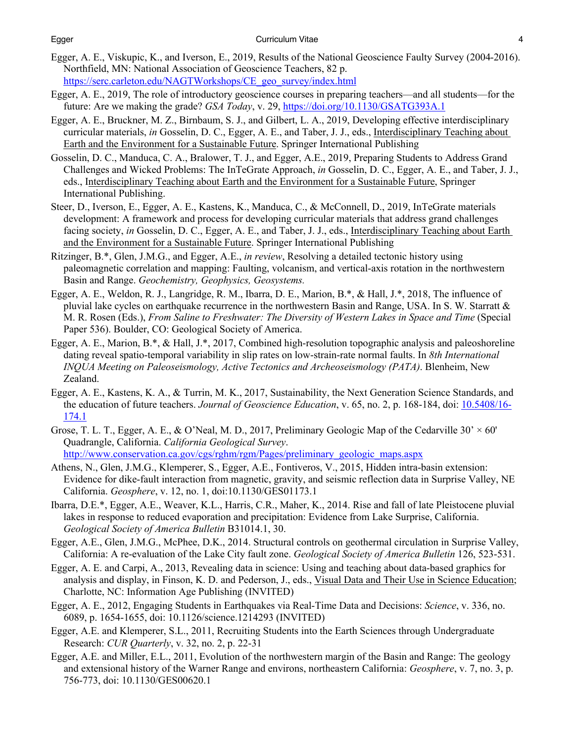#### Egger Curriculum Vitae 4

- Egger, A. E., Viskupic, K., and Iverson, E., 2019, Results of the National Geoscience Faulty Survey (2004-2016). Northfield, MN: National Association of Geoscience Teachers, 82 p. https://serc.carleton.edu/NAGTWorkshops/CE\_geo\_survey/index.html
- Egger, A. E., 2019, The role of introductory geoscience courses in preparing teachers—and all students—for the future: Are we making the grade? *GSA Today*, v. 29, https://doi.org/10.1130/GSATG393A.1
- Egger, A. E., Bruckner, M. Z., Birnbaum, S. J., and Gilbert, L. A., 2019, Developing effective interdisciplinary curricular materials, *in* Gosselin, D. C., Egger, A. E., and Taber, J. J., eds., Interdisciplinary Teaching about Earth and the Environment for a Sustainable Future. Springer International Publishing
- Gosselin, D. C., Manduca, C. A., Bralower, T. J., and Egger, A.E., 2019, Preparing Students to Address Grand Challenges and Wicked Problems: The InTeGrate Approach, *in* Gosselin, D. C., Egger, A. E., and Taber, J. J., eds., Interdisciplinary Teaching about Earth and the Environment for a Sustainable Future, Springer International Publishing.
- Steer, D., Iverson, E., Egger, A. E., Kastens, K., Manduca, C., & McConnell, D., 2019, InTeGrate materials development: A framework and process for developing curricular materials that address grand challenges facing society, *in* Gosselin, D. C., Egger, A. E., and Taber, J. J., eds., Interdisciplinary Teaching about Earth and the Environment for a Sustainable Future. Springer International Publishing
- Ritzinger, B.\*, Glen, J.M.G., and Egger, A.E., *in review*, Resolving a detailed tectonic history using paleomagnetic correlation and mapping: Faulting, volcanism, and vertical-axis rotation in the northwestern Basin and Range. *Geochemistry, Geophysics, Geosystems.*
- Egger, A. E., Weldon, R. J., Langridge, R. M., Ibarra, D. E., Marion, B.\*, & Hall, J.\*, 2018, The influence of pluvial lake cycles on earthquake recurrence in the northwestern Basin and Range, USA. In S. W. Starratt  $\&$ M. R. Rosen (Eds.), *From Saline to Freshwater: The Diversity of Western Lakes in Space and Time* (Special Paper 536). Boulder, CO: Geological Society of America.
- Egger, A. E., Marion, B.\*, & Hall, J.\*, 2017, Combined high-resolution topographic analysis and paleoshoreline dating reveal spatio-temporal variability in slip rates on low-strain-rate normal faults. In *8th International INQUA Meeting on Paleoseismology, Active Tectonics and Archeoseismology (PATA)*. Blenheim, New Zealand.
- Egger, A. E., Kastens, K. A., & Turrin, M. K., 2017, Sustainability, the Next Generation Science Standards, and the education of future teachers. *Journal of Geoscience Education*, v. 65, no. 2, p. 168-184, doi: 10.5408/16- 174.1
- Grose, T. L. T., Egger, A. E., & O'Neal, M. D., 2017, Preliminary Geologic Map of the Cedarville  $30' \times 60'$ Quadrangle, California. *California Geological Survey*. http://www.conservation.ca.gov/cgs/rghm/rgm/Pages/preliminary\_geologic\_maps.aspx
- Athens, N., Glen, J.M.G., Klemperer, S., Egger, A.E., Fontiveros, V., 2015, Hidden intra-basin extension: Evidence for dike-fault interaction from magnetic, gravity, and seismic reflection data in Surprise Valley, NE California. *Geosphere*, v. 12, no. 1, doi:10.1130/GES01173.1
- Ibarra, D.E.\*, Egger, A.E., Weaver, K.L., Harris, C.R., Maher, K., 2014. Rise and fall of late Pleistocene pluvial lakes in response to reduced evaporation and precipitation: Evidence from Lake Surprise, California. *Geological Society of America Bulletin* B31014.1, 30.
- Egger, A.E., Glen, J.M.G., McPhee, D.K., 2014. Structural controls on geothermal circulation in Surprise Valley, California: A re-evaluation of the Lake City fault zone. *Geological Society of America Bulletin* 126, 523-531.
- Egger, A. E. and Carpi, A., 2013, Revealing data in science: Using and teaching about data-based graphics for analysis and display, in Finson, K. D. and Pederson, J., eds., Visual Data and Their Use in Science Education; Charlotte, NC: Information Age Publishing (INVITED)
- Egger, A. E., 2012, Engaging Students in Earthquakes via Real-Time Data and Decisions: *Science*, v. 336, no. 6089, p. 1654-1655, doi: 10.1126/science.1214293 (INVITED)
- Egger, A.E. and Klemperer, S.L., 2011, Recruiting Students into the Earth Sciences through Undergraduate Research: *CUR Quarterly*, v. 32, no. 2, p. 22-31
- Egger, A.E. and Miller, E.L., 2011, Evolution of the northwestern margin of the Basin and Range: The geology and extensional history of the Warner Range and environs, northeastern California: *Geosphere*, v. 7, no. 3, p. 756-773, doi: 10.1130/GES00620.1